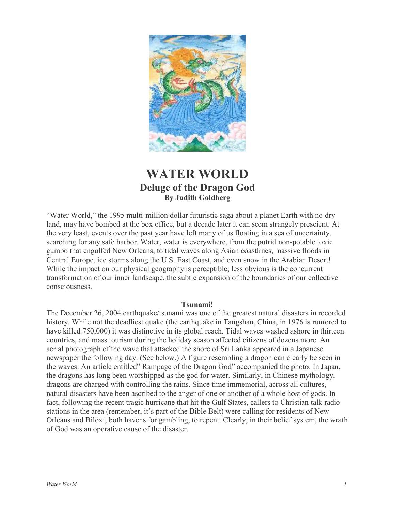

# **WATER WORLD Deluge of the Dragon God By Judith Goldberg**

"Water World," the 1995 multi-million dollar futuristic saga about a planet Earth with no dry land, may have bombed at the box office, but a decade later it can seem strangely prescient. At the very least, events over the past year have left many of us floating in a sea of uncertainty, searching for any safe harbor. Water, water is everywhere, from the putrid non-potable toxic gumbo that engulfed New Orleans, to tidal waves along Asian coastlines, massive floods in Central Europe, ice storms along the U.S. East Coast, and even snow in the Arabian Desert! While the impact on our physical geography is perceptible, less obvious is the concurrent transformation of our inner landscape, the subtle expansion of the boundaries of our collective consciousness

### Tsunami!

The December 26, 2004 earthquake/tsunami was one of the greatest natural disasters in recorded history. While not the deadliest quake (the earthquake in Tangshan, China, in 1976 is rumored to have killed 750,000) it was distinctive in its global reach. Tidal waves washed ashore in thirteen countries, and mass tourism during the holiday season affected citizens of dozens more. An aerial photograph of the wave that attacked the shore of Sri Lanka appeared in a Japanese newspaper the following day. (See below.) A figure resembling a dragon can clearly be seen in the waves. An article entitled" Rampage of the Dragon God" accompanied the photo. In Japan, the dragons has long been worshipped as the god for water. Similarly, in Chinese mythology, dragons are charged with controlling the rains. Since time immemorial, across all cultures, natural disasters have been ascribed to the anger of one or another of a whole host of gods. In fact, following the recent tragic hurricane that hit the Gulf States, callers to Christian talk radio stations in the area (remember, it's part of the Bible Belt) were calling for residents of New Orleans and Biloxi, both havens for gambling, to repent. Clearly, in their belief system, the wrath of God was an operative cause of the disaster.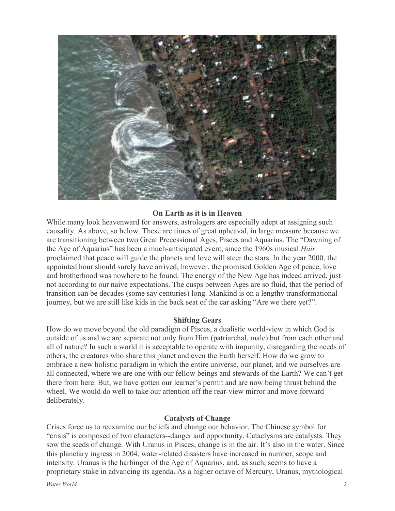

## On Earth as it is in Heaven

While many look heavenward for answers, astrologers are especially adept at assigning such causality. As above, so below. These are times of great upheaval, in large measure because we are transitioning between two Great Precessional Ages, Pisces and Aquarius. The "Dawning of the Age of Aquarius" has been a much-anticipated event, since the 1960s musical *Hair* proclaimed that peace will guide the planets and love will steer the stars. In the year 2000, the appointed hour should surely have arrived; however, the promised Golden Age of peace, love and brotherhood was nowhere to be found. The energy of the New Age has indeed arrived, just not according to our naive expectations. The cusps between Ages are so fluid, that the period of transition can be decades (some say centuries) long. Mankind is on a lengthy transformational journey, but we are still like kids in the back seat of the car asking "Are we there yet?".

### **Shifting Gears**

How do we move beyond the old paradigm of Pisces, a dualistic world-view in which God is outside of us and we are separate not only from Him (patriarchal, male) but from each other and all of nature? In such a world it is acceptable to operate with impunity, disregarding the needs of others, the creatures who share this planet and even the Earth herself. How do we grow to embrace a new holistic paradigm in which the entire universe, our planet, and we ourselves are all connected, where we are one with our fellow beings and stewards of the Earth? We can't get there from here. But, we have gotten our learner's permit and are now being thrust behind the wheel. We would do well to take our attention off the rear-view mirror and move forward deliberately.

### **Catalysts of Change**

Crises force us to reexamine our beliefs and change our behavior. The Chinese symbol for "crisis" is composed of two characters--danger and opportunity. Cataclysms are catalysts. They sow the seeds of change. With Uranus in Pisces, change is in the air. It's also in the water. Since this planetary ingress in 2004, water-related disasters have increased in number, scope and intensity. Uranus is the harbinger of the Age of Aquarius, and, as such, seems to have a proprietary stake in advancing its agenda. As a higher octave of Mercury, Uranus, mythological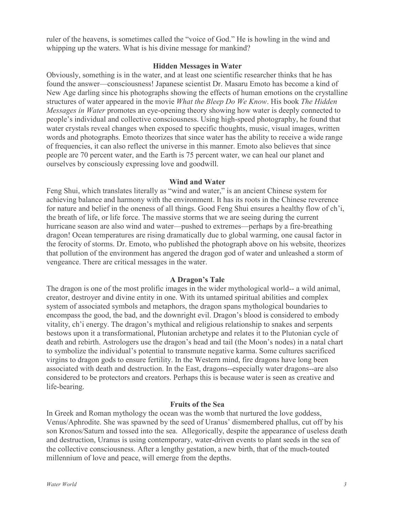ruler of the heavens, is sometimes called the "voice of God." He is howling in the wind and whipping up the waters. What is his divine message for mankind?

## **Hidden Messages in Water**

Obviously, something is in the water, and at least one scientific researcher thinks that he has found the answer—consciousness! Japanese scientist Dr. Masaru Emoto has become a kind of New Age darling since his photographs showing the effects of human emotions on the crystalline structures of water appeared in the movie *What the Bleep Do We Know*. His book *The Hidden Messages in Water* promotes an eye-opening theory showing how water is deeply connected to people's individual and collective consciousness. Using high-speed photography, he found that water crystals reveal changes when exposed to specific thoughts, music, visual images, written words and photographs. Emoto theorizes that since water has the ability to receive a wide range of frequencies, it can also reflect the universe in this manner. Emoto also believes that since people are 70 percent water, and the Earth is 75 percent water, we can heal our planet and ourselves by consciously expressing love and goodwill.

## **Wind and Water**

Feng Shui, which translates literally as "wind and water," is an ancient Chinese system for achieving balance and harmony with the environment. It has its roots in the Chinese reverence for nature and belief in the oneness of all things. Good Feng Shui ensures a healthy flow of ch'i, the breath of life, or life force. The massive storms that we are seeing during the current hurricane season are also wind and water—pushed to extremes—perhaps by a fire-breathing dragon! Ocean temperatures are rising dramatically due to global warming, one causal factor in the ferocity of storms. Dr. Emoto, who published the photograph above on his website, theorizes that pollution of the environment has angered the dragon god of water and unleashed a storm of vengeance. There are critical messages in the water.

# A Dragon's Tale

The dragon is one of the most prolific images in the wider mythological world-- a wild animal, creator, destroyer and divine entity in one. With its untamed spiritual abilities and complex system of associated symbols and metaphors, the dragon spans mythological boundaries to encompass the good, the bad, and the downright evil. Dragon's blood is considered to embody vitality, ch'i energy. The dragon's mythical and religious relationship to snakes and serpents bestows upon it a transformational, Plutonian archetype and relates it to the Plutonian cycle of death and rebirth. Astrologers use the dragon's head and tail (the Moon's nodes) in a natal chart to symbolize the individual's potential to transmute negative karma. Some cultures sacrificed virgins to dragon gods to ensure fertility. In the Western mind, fire dragons have long been associated with death and destruction. In the East, dragons--especially water dragons--are also considered to be protectors and creators. Perhaps this is because water is seen as creative and life-bearing.

# **Fruits of the Sea**

In Greek and Roman mythology the ocean was the womb that nurtured the love goddess, Venus/Aphrodite. She was spawned by the seed of Uranus' dismembered phallus, cut off by his son Kronos/Saturn and tossed into the sea. Allegorically, despite the appearance of useless death and destruction, Uranus is using contemporary, water-driven events to plant seeds in the sea of the collective consciousness. After a lengthy gestation, a new birth, that of the much-touted millennium of love and peace, will emerge from the depths.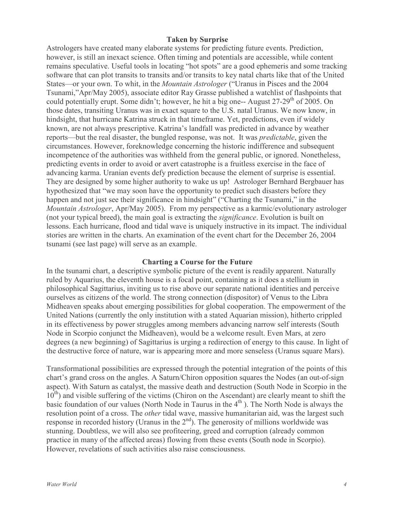# **Taken by Surprise**

Astrologers have created many elaborate systems for predicting future events. Prediction, however, is still an inexact science. Often timing and potentials are accessible, while content remains speculative. Useful tools in locating "hot spots" are a good ephemeris and some tracking software that can plot transits to transits and/or transits to key natal charts like that of the United States—or your own. To whit, in the *Mountain Astrologer* ("Uranus in Pisces and the 2004 Tsunami,"Apr/May 2005), associate editor Ray Grasse published a watchlist of flashpoints that could potentially erupt. Some didn't; however, he hit a big one-- August 27-29<sup>th</sup> of 2005. On those dates, transiting Uranus was in exact square to the U.S. natal Uranus. We now know, in hindsight, that hurricane Katrina struck in that timeframe. Yet, predictions, even if widely known, are not always prescriptive. Katrina's landfall was predicted in advance by weather reports—but the real disaster, the bungled response, was not. It was *predictable*, given the circumstances. However, foreknowledge concerning the historic indifference and subsequent incompetence of the authorities was withheld from the general public, or ignored. Nonetheless, predicting events in order to avoid or avert catastrophe is a fruitless exercise in the face of advancing karma. Uranian events defy prediction because the element of surprise is essential. They are designed by some higher authority to wake us up! Astrologer Bernhard Bergbauer has hypothesized that "we may soon have the opportunity to predict such disasters before they happen and not just see their significance in hindsight" ("Charting the Tsunami," in the *Mountain Astrologer*, Apr/May 2005). From my perspective as a karmic/evolutionary astrologer (not your typical breed), the main goal is extracting the *significance*. Evolution is built on lessons. Each hurricane, flood and tidal wave is uniquely instructive in its impact. The individual stories are written in the charts. An examination of the event chart for the December 26, 2004 tsunami (see last page) will serve as an example.

### **Charting a Course for the Future**

In the tsunami chart, a descriptive symbolic picture of the event is readily apparent. Naturally ruled by Aquarius, the eleventh house is a focal point, containing as it does a stellium in philosophical Sagittarius, inviting us to rise above our separate national identities and perceive ourselves as citizens of the world. The strong connection (dispositor) of Venus to the Libra Midheaven speaks about emerging possibilities for global cooperation. The empowerment of the United Nations (currently the only institution with a stated Aquarian mission), hitherto crippled in its effectiveness by power struggles among members advancing narrow self interests (South Node in Scorpio conjunct the Midheaven), would be a welcome result. Even Mars, at zero degrees (a new beginning) of Sagittarius is urging a redirection of energy to this cause. In light of the destructive force of nature, war is appearing more and more senseless (Uranus square Mars).

Transformational possibilities are expressed through the potential integration of the points of this chart's grand cross on the angles. A Saturn/Chiron opposition squares the Nodes (an out-of-sign aspect). With Saturn as catalyst, the massive death and destruction (South Node in Scorpio in the  $10<sup>th</sup>$ ) and visible suffering of the victims (Chiron on the Ascendant) are clearly meant to shift the basic foundation of our values (North Node in Taurus in the 4<sup>th</sup>). The North Node is always the resolution point of a cross. The *other* tidal wave, massive humanitarian aid, was the largest such response in recorded history (Uranus in the  $2<sup>nd</sup>$ ). The generosity of millions worldwide was stunning. Doubtless, we will also see profiteering, greed and corruption (already common practice in many of the affected areas) flowing from these events (South node in Scorpio). However, revelations of such activities also raise consciousness.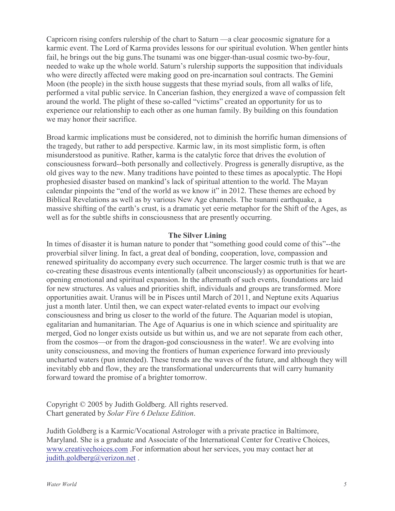Capricorn rising confers rulership of the chart to Saturn —a clear geocosmic signature for a karmic event. The Lord of Karma provides lessons for our spiritual evolution. When gentler hints fail, he brings out the big guns. The tsunami was one bigger-than-usual cosmic two-by-four, needed to wake up the whole world. Saturn's rulership supports the supposition that individuals who were directly affected were making good on pre-incarnation soul contracts. The Gemini Moon (the people) in the sixth house suggests that these myriad souls, from all walks of life, performed a vital public service. In Cancerian fashion, they energized a wave of compassion felt around the world. The plight of these so-called "victims" created an opportunity for us to experience our relationship to each other as one human family. By building on this foundation we may honor their sacrifice.

Broad karmic implications must be considered, not to diminish the horrific human dimensions of the tragedy, but rather to add perspective. Karmic law, in its most simplistic form, is often misunderstood as punitive. Rather, karma is the catalytic force that drives the evolution of consciousness forward--both personally and collectively. Progress is generally disruptive, as the old gives way to the new. Many traditions have pointed to these times as apocalyptic. The Hopi prophesied disaster based on mankind's lack of spiritual attention to the world. The Mayan calendar pinpoints the "end of the world as we know it" in 2012. These themes are echoed by Biblical Revelations as well as by various New Age channels. The tsunami earthquake, a massive shifting of the earth's crust, is a dramatic yet eerie metaphor for the Shift of the Ages, as well as for the subtle shifts in consciousness that are presently occurring.

# **The Silver Lining**

In times of disaster it is human nature to ponder that "something good could come of this"--the proverbial silver lining. In fact, a great deal of bonding, cooperation, love, compassion and renewed spirituality do accompany every such occurrence. The larger cosmic truth is that we are co-creating these disastrous events intentionally (albeit unconsciously) as opportunities for heartopening emotional and spiritual expansion. In the aftermath of such events, foundations are laid for new structures. As values and priorities shift, individuals and groups are transformed. More opportunities await. Uranus will be in Pisces until March of 2011, and Neptune exits Aquarius just a month later. Until then, we can expect water-related events to impact our evolving consciousness and bring us closer to the world of the future. The Aquarian model is utopian, egalitarian and humanitarian. The Age of Aquarius is one in which science and spirituality are merged, God no longer exists outside us but within us, and we are not separate from each other, from the cosmos—or from the dragon-god consciousness in the water!. We are evolving into unity consciousness, and moving the frontiers of human experience forward into previously uncharted waters (pun intended). These trends are the waves of the future, and although they will inevitably ebb and flow, they are the transformational undercurrents that will carry humanity forward toward the promise of a brighter tomorrow.

Copyright © 2005 by Judith Goldberg. All rights reserved. Chart generated by Solar Fire 6 Deluxe Edition.

Judith Goldberg is a Karmic/Vocational Astrologer with a private practice in Baltimore, Maryland. She is a graduate and Associate of the International Center for Creative Choices, www.creativechoices.com. For information about her services, you may contact her at judith.goldberg@verizon.net.